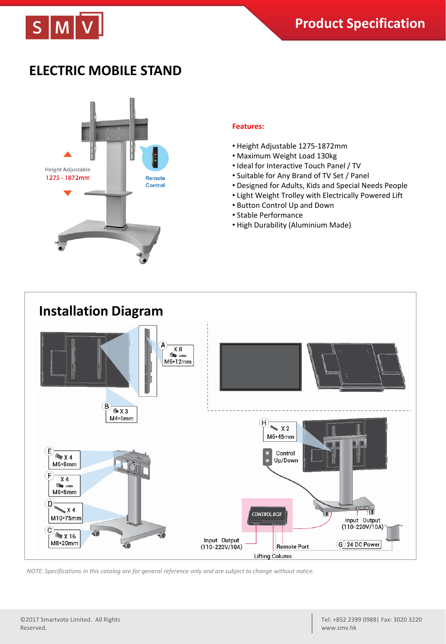

## **ELECTRIC MOBILE STAND**



## **Features:**

- Height Adjustable 1275-1872mm
- Maximum Weight Load 130kg
- Ideal for Interactive Touch Panel / TV
- Suitable for Any Brand of TV Set / Panel
- Designed for Adults, Kids and Special Needs People
- Light Weight Trolley with Electrically Powered Lift
- Button Control Up and Down
- Stable Performance
- High Durability (Aluminium Made)



*NOTE: Specifications in this catalog are for general reference only and are subject to change without notice.*